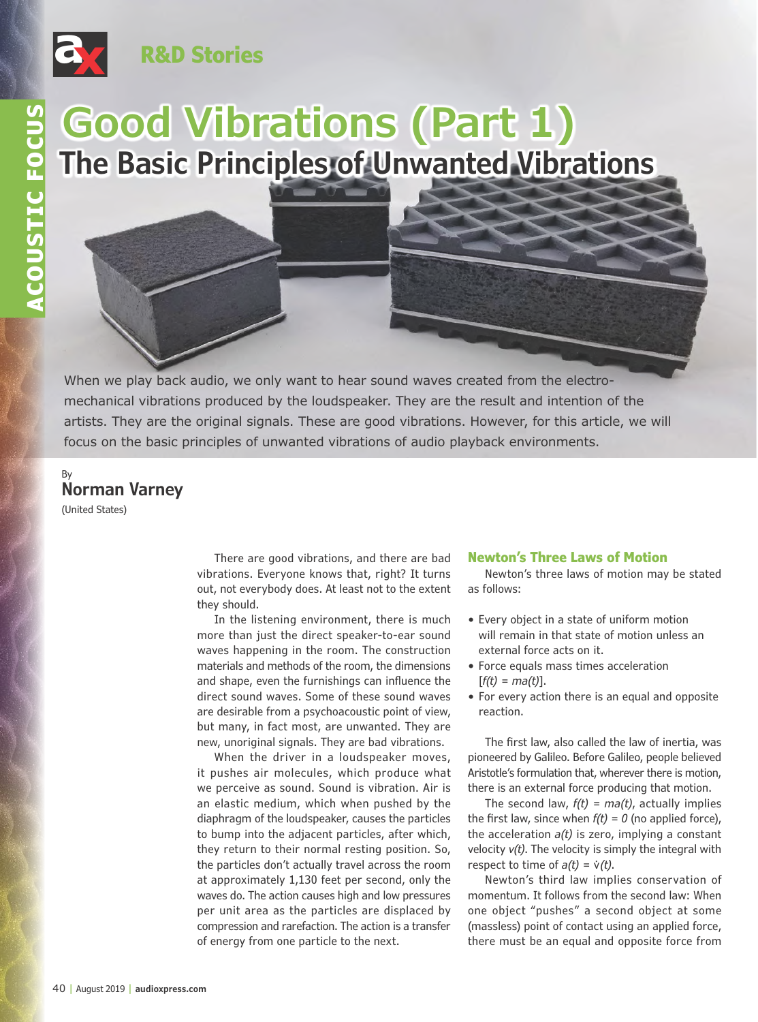

## **R&D Stories**

# **Good Vibrations (Part 1) The Basic Principles of Unwanted Vibrations**

When we play back audio, we only want to hear sound waves created from the electromechanical vibrations produced by the loudspeaker. They are the result and intention of the artists. They are the original signals. These are good vibrations. However, for this article, we will focus on the basic principles of unwanted vibrations of audio playback environments.

### By **Norman Varney**

(United States)

There are good vibrations, and there are bad vibrations. Everyone knows that, right? It turns out, not everybody does. At least not to the extent they should.

In the listening environment, there is much more than just the direct speaker-to-ear sound waves happening in the room. The construction materials and methods of the room, the dimensions and shape, even the furnishings can influence the direct sound waves. Some of these sound waves are desirable from a psychoacoustic point of view, but many, in fact most, are unwanted. They are new, unoriginal signals. They are bad vibrations.

When the driver in a loudspeaker moves, it pushes air molecules, which produce what we perceive as sound. Sound is vibration. Air is an elastic medium, which when pushed by the diaphragm of the loudspeaker, causes the particles to bump into the adjacent particles, after which, they return to their normal resting position. So, the particles don't actually travel across the room at approximately 1,130 feet per second, only the waves do. The action causes high and low pressures per unit area as the particles are displaced by compression and rarefaction. The action is a transfer of energy from one particle to the next.

#### **Newton's Three Laws of Motion**

Newton's three laws of motion may be stated as follows:

- Every object in a state of uniform motion will remain in that state of motion unless an external force acts on it.
- Force equals mass times acceleration [*f(t) = ma(t)*].
- For every action there is an equal and opposite reaction.

The first law, also called the law of inertia, was pioneered by Galileo. Before Galileo, people believed Aristotle's formulation that, wherever there is motion, there is an external force producing that motion.

The second law, *f(t) = ma(t)*, actually implies the first law, since when  $f(t) = 0$  (no applied force), the acceleration *a(t)* is zero, implying a constant velocity *v(t)*. The velocity is simply the integral with respect to time of  $a(t) = v(t)$ .

Newton's third law implies conservation of momentum. It follows from the second law: When one object "pushes" a second object at some (massless) point of contact using an applied force, there must be an equal and opposite force from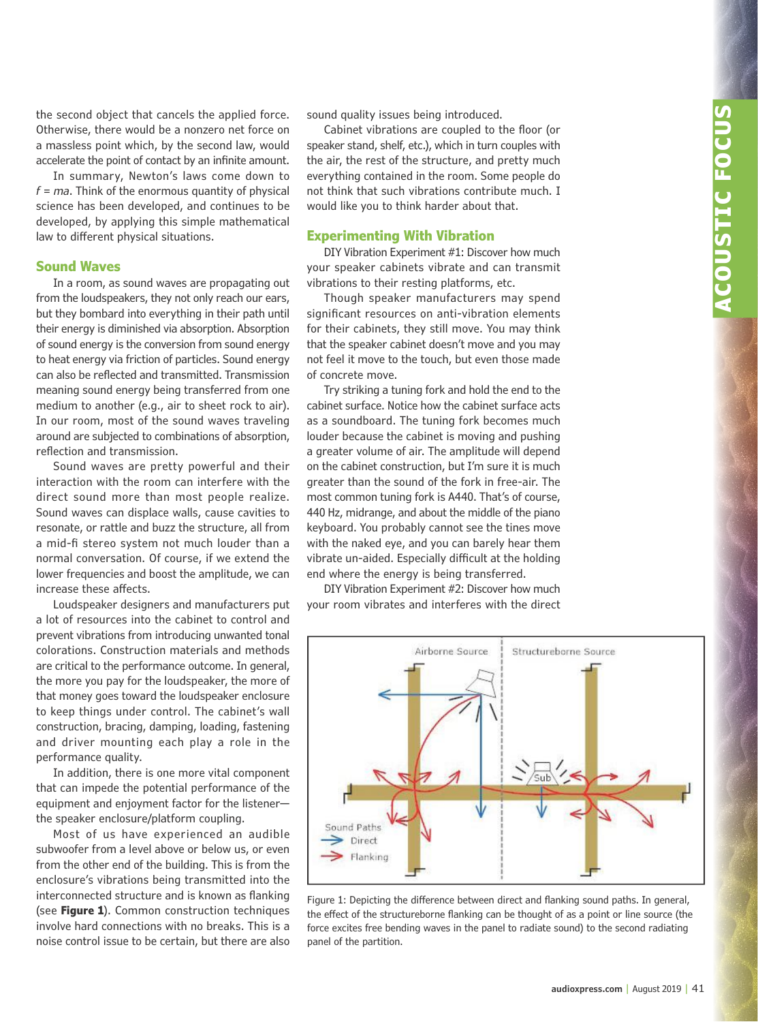the second object that cancels the applied force. Otherwise, there would be a nonzero net force on a massless point which, by the second law, would accelerate the point of contact by an infinite amount.

In summary, Newton's laws come down to *f = ma*. Think of the enormous quantity of physical science has been developed, and continues to be developed, by applying this simple mathematical law to different physical situations.

#### **Sound Waves**

In a room, as sound waves are propagating out from the loudspeakers, they not only reach our ears, but they bombard into everything in their path until their energy is diminished via absorption. Absorption of sound energy is the conversion from sound energy to heat energy via friction of particles. Sound energy can also be reflected and transmitted. Transmission meaning sound energy being transferred from one medium to another (e.g., air to sheet rock to air). In our room, most of the sound waves traveling around are subjected to combinations of absorption, reflection and transmission.

Sound waves are pretty powerful and their interaction with the room can interfere with the direct sound more than most people realize. Sound waves can displace walls, cause cavities to resonate, or rattle and buzz the structure, all from a mid-fi stereo system not much louder than a normal conversation. Of course, if we extend the lower frequencies and boost the amplitude, we can increase these affects.

Loudspeaker designers and manufacturers put a lot of resources into the cabinet to control and prevent vibrations from introducing unwanted tonal colorations. Construction materials and methods are critical to the performance outcome. In general, the more you pay for the loudspeaker, the more of that money goes toward the loudspeaker enclosure to keep things under control. The cabinet's wall construction, bracing, damping, loading, fastening and driver mounting each play a role in the performance quality.

In addition, there is one more vital component that can impede the potential performance of the equipment and enjoyment factor for the listener the speaker enclosure/platform coupling.

Most of us have experienced an audible subwoofer from a level above or below us, or even from the other end of the building. This is from the enclosure's vibrations being transmitted into the interconnected structure and is known as flanking (see **Figure 1**). Common construction techniques involve hard connections with no breaks. This is a noise control issue to be certain, but there are also

sound quality issues being introduced.

Cabinet vibrations are coupled to the floor (or speaker stand, shelf, etc.), which in turn couples with the air, the rest of the structure, and pretty much everything contained in the room. Some people do not think that such vibrations contribute much. I would like you to think harder about that.

#### **Experimenting With Vibration**

DIY Vibration Experiment #1: Discover how much your speaker cabinets vibrate and can transmit vibrations to their resting platforms, etc.

Though speaker manufacturers may spend significant resources on anti-vibration elements for their cabinets, they still move. You may think that the speaker cabinet doesn't move and you may not feel it move to the touch, but even those made of concrete move.

Try striking a tuning fork and hold the end to the cabinet surface. Notice how the cabinet surface acts as a soundboard. The tuning fork becomes much louder because the cabinet is moving and pushing a greater volume of air. The amplitude will depend on the cabinet construction, but I'm sure it is much greater than the sound of the fork in free-air. The most common tuning fork is A440. That's of course, 440 Hz, midrange, and about the middle of the piano keyboard. You probably cannot see the tines move with the naked eye, and you can barely hear them vibrate un-aided. Especially difficult at the holding end where the energy is being transferred.

DIY Vibration Experiment #2: Discover how much your room vibrates and interferes with the direct



Figure 1: Depicting the difference between direct and flanking sound paths. In general, the effect of the structureborne flanking can be thought of as a point or line source (the force excites free bending waves in the panel to radiate sound) to the second radiating panel of the partition.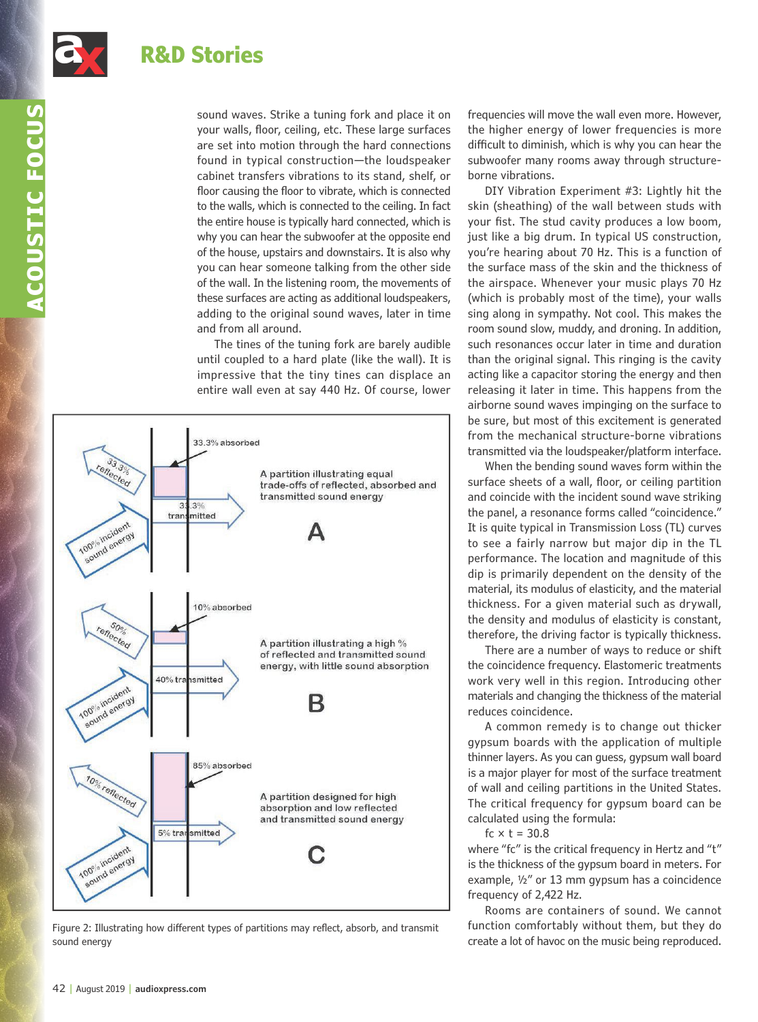

sound waves. Strike a tuning fork and place it on your walls, floor, ceiling, etc. These large surfaces are set into motion through the hard connections found in typical construction—the loudspeaker cabinet transfers vibrations to its stand, shelf, or floor causing the floor to vibrate, which is connected to the walls, which is connected to the ceiling. In fact the entire house is typically hard connected, which is why you can hear the subwoofer at the opposite end of the house, upstairs and downstairs. It is also why you can hear someone talking from the other side of the wall. In the listening room, the movements of these surfaces are acting as additional loudspeakers, adding to the original sound waves, later in time and from all around.

The tines of the tuning fork are barely audible until coupled to a hard plate (like the wall). It is impressive that the tiny tines can displace an entire wall even at say 440 Hz. Of course, lower



Figure 2: Illustrating how different types of partitions may reflect, absorb, and transmit sound energy

frequencies will move the wall even more. However, the higher energy of lower frequencies is more difficult to diminish, which is why you can hear the subwoofer many rooms away through structureborne vibrations.

DIY Vibration Experiment #3: Lightly hit the skin (sheathing) of the wall between studs with your fist. The stud cavity produces a low boom, just like a big drum. In typical US construction, you're hearing about 70 Hz. This is a function of the surface mass of the skin and the thickness of the airspace. Whenever your music plays 70 Hz (which is probably most of the time), your walls sing along in sympathy. Not cool. This makes the room sound slow, muddy, and droning. In addition, such resonances occur later in time and duration than the original signal. This ringing is the cavity acting like a capacitor storing the energy and then releasing it later in time. This happens from the airborne sound waves impinging on the surface to be sure, but most of this excitement is generated from the mechanical structure-borne vibrations transmitted via the loudspeaker/platform interface.

When the bending sound waves form within the surface sheets of a wall, floor, or ceiling partition and coincide with the incident sound wave striking the panel, a resonance forms called "coincidence." It is quite typical in Transmission Loss (TL) curves to see a fairly narrow but major dip in the TL performance. The location and magnitude of this dip is primarily dependent on the density of the material, its modulus of elasticity, and the material thickness. For a given material such as drywall, the density and modulus of elasticity is constant, therefore, the driving factor is typically thickness.

There are a number of ways to reduce or shift the coincidence frequency. Elastomeric treatments work very well in this region. Introducing other materials and changing the thickness of the material reduces coincidence.

A common remedy is to change out thicker gypsum boards with the application of multiple thinner layers. As you can guess, gypsum wall board is a major player for most of the surface treatment of wall and ceiling partitions in the United States. The critical frequency for gypsum board can be calculated using the formula:

fc  $\times$  t = 30.8

where "fc" is the critical frequency in Hertz and "t" is the thickness of the gypsum board in meters. For example, ½" or 13 mm gypsum has a coincidence frequency of 2,422 Hz.

Rooms are containers of sound. We cannot function comfortably without them, but they do create a lot of havoc on the music being reproduced.